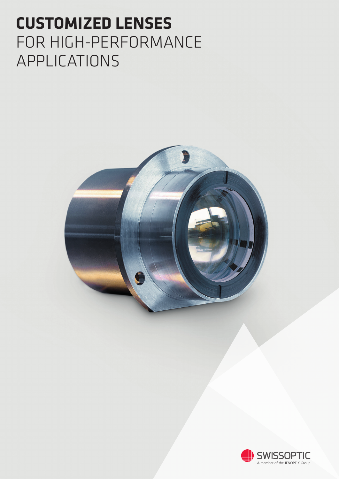# **CUSTOMIZED LENSES** FOR HIGH-PERFORMANCE APPLICATIONS